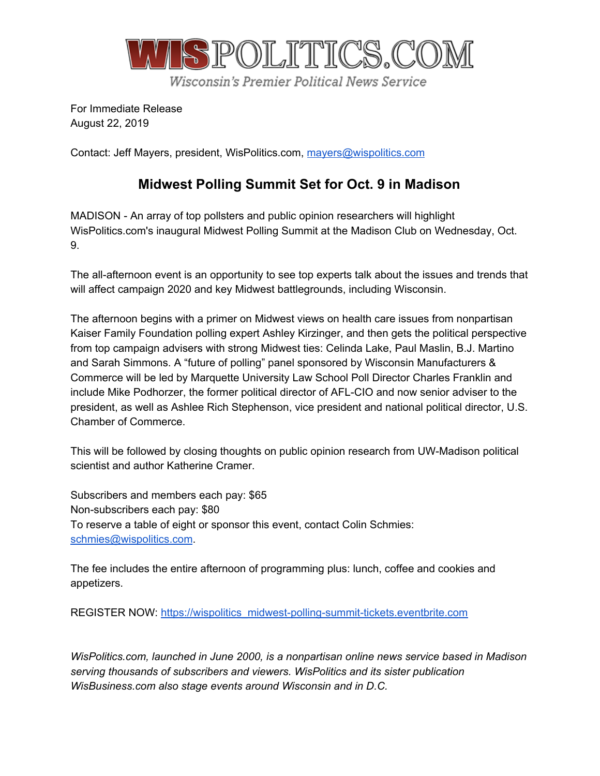

For Immediate Release August 22, 2019

Contact: Jeff Mayers, president, WisPolitics.com, [mayers@wispolitics.com](mailto:mayers@wispolitics.com)

## **Midwest Polling Summit Set for Oct. 9 in Madison**

MADISON - An array of top pollsters and public opinion researchers will highlight WisPolitics.com's inaugural Midwest Polling Summit at the Madison Club on Wednesday, Oct. 9.

The all-afternoon event is an opportunity to see top experts talk about the issues and trends that will affect campaign 2020 and key Midwest battlegrounds, including Wisconsin.

The afternoon begins with a primer on Midwest views on health care issues from nonpartisan Kaiser Family Foundation polling expert Ashley Kirzinger, and then gets the political perspective from top campaign advisers with strong Midwest ties: Celinda Lake, Paul Maslin, B.J. Martino and Sarah Simmons. A "future of polling" panel sponsored by Wisconsin Manufacturers & Commerce will be led by Marquette University Law School Poll Director Charles Franklin and include Mike Podhorzer, the former political director of AFL-CIO and now senior adviser to the president, as well as Ashlee Rich Stephenson, vice president and national political director, U.S. Chamber of Commerce.

This will be followed by closing thoughts on public opinion research from UW-Madison political scientist and author Katherine Cramer.

Subscribers and members each pay: \$65 Non-subscribers each pay: \$80 To reserve a table of eight or sponsor this event, contact Colin Schmies: [schmies@wispolitics.com](mailto:schmies@wispolitics.com).

The fee includes the entire afternoon of programming plus: lunch, coffee and cookies and appetizers.

REGISTER NOW: [https://wispolitics\\_midwest-polling-summit-tickets.eventbrite.com](https://wispolitics_midwest-polling-summit-tickets.eventbrite.com/)

*WisPolitics.com, launched in June 2000, is a nonpartisan online news service based in Madison serving thousands of subscribers and viewers. WisPolitics and its sister publication WisBusiness.com also stage events around Wisconsin and in D.C.*